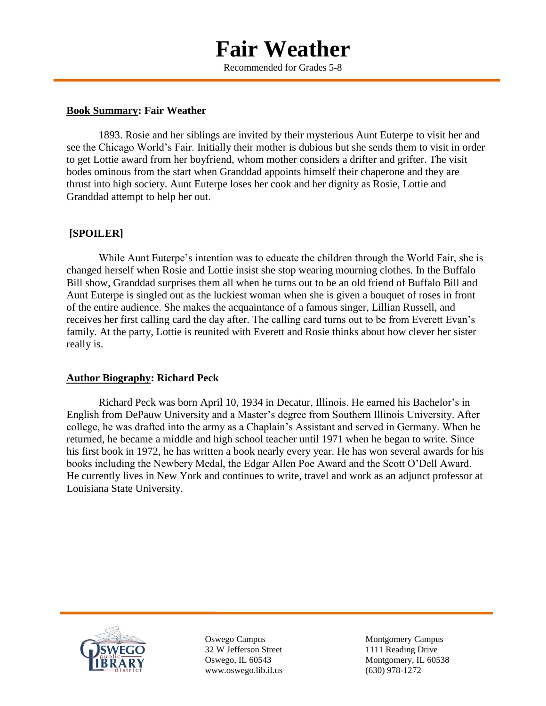## **Fair Weather**

Recommended for Grades 5-8

#### **Book Summary: Fair Weather**

1893. Rosie and her siblings are invited by their mysterious Aunt Euterpe to visit her and see the Chicago World's Fair. Initially their mother is dubious but she sends them to visit in order to get Lottie award from her boyfriend, whom mother considers a drifter and grifter. The visit bodes ominous from the start when Granddad appoints himself their chaperone and they are thrust into high society. Aunt Euterpe loses her cook and her dignity as Rosie, Lottie and Granddad attempt to help her out.

## **[SPOILER]**

While Aunt Euterpe's intention was to educate the children through the World Fair, she is changed herself when Rosie and Lottie insist she stop wearing mourning clothes. In the Buffalo Bill show, Granddad surprises them all when he turns out to be an old friend of Buffalo Bill and Aunt Euterpe is singled out as the luckiest woman when she is given a bouquet of roses in front of the entire audience. She makes the acquaintance of a famous singer, Lillian Russell, and receives her first calling card the day after. The calling card turns out to be from Everett Evan's family. At the party, Lottie is reunited with Everett and Rosie thinks about how clever her sister really is.

## **Author Biography: Richard Peck**

Richard Peck was born April 10, 1934 in Decatur, Illinois. He earned his Bachelor's in English from DePauw University and a Master's degree from Southern Illinois University. After college, he was drafted into the army as a Chaplain's Assistant and served in Germany. When he returned, he became a middle and high school teacher until 1971 when he began to write. Since his first book in 1972, he has written a book nearly every year. He has won several awards for his books including the Newbery Medal, the Edgar Allen Poe Award and the Scott O'Dell Award. He currently lives in New York and continues to write, travel and work as an adjunct professor at Louisiana State University.



32 W Jefferson Street 1111 Reading Drive www.oswego.lib.il.us (630) 978-1272

Oswego Campus Montgomery Campus Oswego, IL 60543 Montgomery, IL 60538